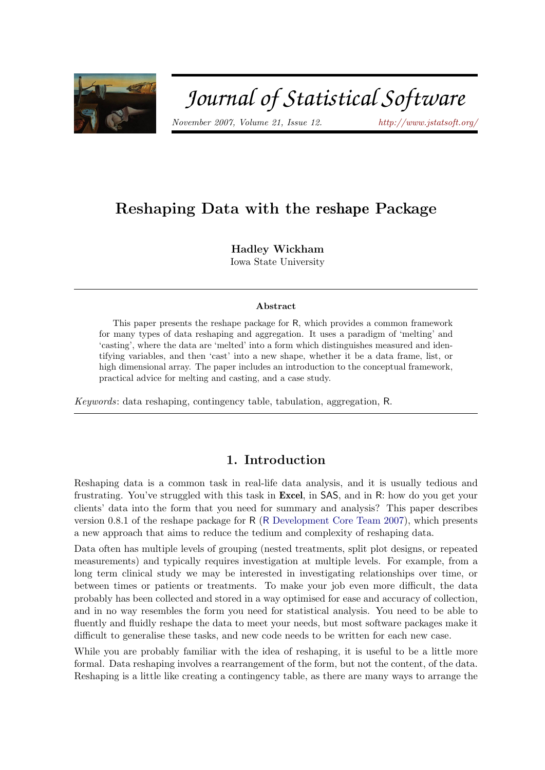

# Journal of Statistical Software

November 2007, Volume 21, Issue 12. <http://www.jstatsoft.org/>

# Reshaping Data with the reshape Package

Hadley Wickham Iowa State University

#### Abstract

This paper presents the reshape package for R, which provides a common framework for many types of data reshaping and aggregation. It uses a paradigm of 'melting' and 'casting', where the data are 'melted' into a form which distinguishes measured and identifying variables, and then 'cast' into a new shape, whether it be a data frame, list, or high dimensional array. The paper includes an introduction to the conceptual framework, practical advice for melting and casting, and a case study.

Keywords: data reshaping, contingency table, tabulation, aggregation, R.

# 1. Introduction

Reshaping data is a common task in real-life data analysis, and it is usually tedious and frustrating. You've struggled with this task in Excel, in SAS, and in R: how do you get your clients' data into the form that you need for summary and analysis? This paper describes version 0.8.1 of the reshape package for R (R [Development Core Team](#page-19-0) [2007\)](#page-19-0), which presents a new approach that aims to reduce the tedium and complexity of reshaping data.

Data often has multiple levels of grouping (nested treatments, split plot designs, or repeated measurements) and typically requires investigation at multiple levels. For example, from a long term clinical study we may be interested in investigating relationships over time, or between times or patients or treatments. To make your job even more difficult, the data probably has been collected and stored in a way optimised for ease and accuracy of collection, and in no way resembles the form you need for statistical analysis. You need to be able to fluently and fluidly reshape the data to meet your needs, but most software packages make it difficult to generalise these tasks, and new code needs to be written for each new case.

While you are probably familiar with the idea of reshaping, it is useful to be a little more formal. Data reshaping involves a rearrangement of the form, but not the content, of the data. Reshaping is a little like creating a contingency table, as there are many ways to arrange the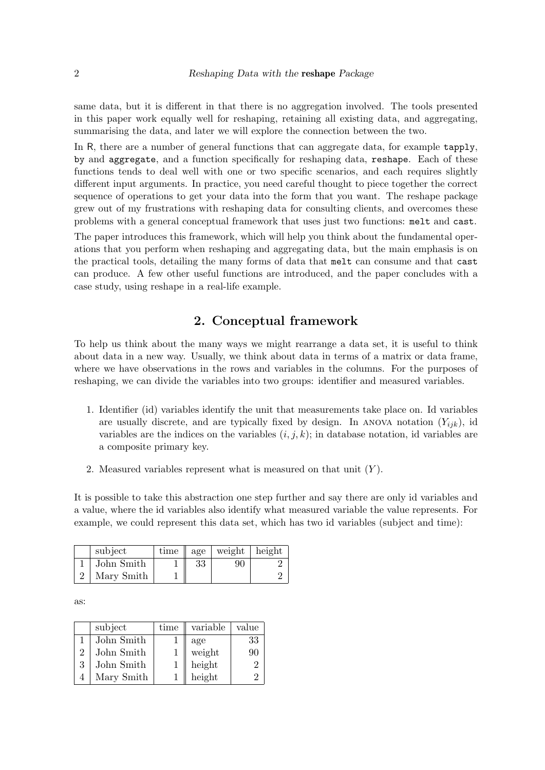same data, but it is different in that there is no aggregation involved. The tools presented in this paper work equally well for reshaping, retaining all existing data, and aggregating, summarising the data, and later we will explore the connection between the two.

In R, there are a number of general functions that can aggregate data, for example tapply, by and aggregate, and a function specifically for reshaping data, reshape. Each of these functions tends to deal well with one or two specific scenarios, and each requires slightly different input arguments. In practice, you need careful thought to piece together the correct sequence of operations to get your data into the form that you want. The reshape package grew out of my frustrations with reshaping data for consulting clients, and overcomes these problems with a general conceptual framework that uses just two functions: melt and cast.

The paper introduces this framework, which will help you think about the fundamental operations that you perform when reshaping and aggregating data, but the main emphasis is on the practical tools, detailing the many forms of data that melt can consume and that cast can produce. A few other useful functions are introduced, and the paper concludes with a case study, using reshape in a real-life example.

# 2. Conceptual framework

To help us think about the many ways we might rearrange a data set, it is useful to think about data in a new way. Usually, we think about data in terms of a matrix or data frame, where we have observations in the rows and variables in the columns. For the purposes of reshaping, we can divide the variables into two groups: identifier and measured variables.

- 1. Identifier (id) variables identify the unit that measurements take place on. Id variables are usually discrete, and are typically fixed by design. In ANOVA notation  $(Y_{ijk})$ , id variables are the indices on the variables  $(i, j, k)$ ; in database notation, id variables are a composite primary key.
- 2. Measured variables represent what is measured on that unit  $(Y)$ .

It is possible to take this abstraction one step further and say there are only id variables and a value, where the id variables also identify what measured variable the value represents. For example, we could represent this data set, which has two id variables (subject and time):

| subject    | time | age | weight | height |
|------------|------|-----|--------|--------|
| John Smith |      | 33  | 90     |        |
| Mary Smith |      |     |        |        |

as:

|   | subject    | time | variable | value          |
|---|------------|------|----------|----------------|
|   | John Smith |      | age      | 33             |
| 2 | John Smith |      | weight   | 90             |
| 3 | John Smith |      | height   | $\overline{2}$ |
|   | Mary Smith |      | height   | 9              |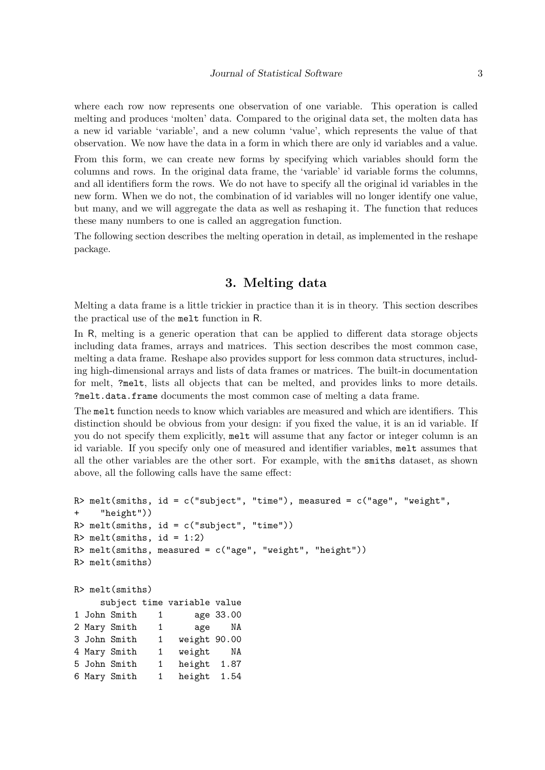where each row now represents one observation of one variable. This operation is called melting and produces 'molten' data. Compared to the original data set, the molten data has a new id variable 'variable', and a new column 'value', which represents the value of that observation. We now have the data in a form in which there are only id variables and a value.

From this form, we can create new forms by specifying which variables should form the columns and rows. In the original data frame, the 'variable' id variable forms the columns, and all identifiers form the rows. We do not have to specify all the original id variables in the new form. When we do not, the combination of id variables will no longer identify one value, but many, and we will aggregate the data as well as reshaping it. The function that reduces these many numbers to one is called an aggregation function.

The following section describes the melting operation in detail, as implemented in the reshape package.

# 3. Melting data

Melting a data frame is a little trickier in practice than it is in theory. This section describes the practical use of the melt function in R.

In R, melting is a generic operation that can be applied to different data storage objects including data frames, arrays and matrices. This section describes the most common case, melting a data frame. Reshape also provides support for less common data structures, including high-dimensional arrays and lists of data frames or matrices. The built-in documentation for melt, ?melt, lists all objects that can be melted, and provides links to more details. ?melt.data.frame documents the most common case of melting a data frame.

The melt function needs to know which variables are measured and which are identifiers. This distinction should be obvious from your design: if you fixed the value, it is an id variable. If you do not specify them explicitly, melt will assume that any factor or integer column is an id variable. If you specify only one of measured and identifier variables, melt assumes that all the other variables are the other sort. For example, with the smiths dataset, as shown above, all the following calls have the same effect:

```
R> melt(smiths, id = c("subject", "time"), measured = c("age", "weight",
+ "height"))
R melt(smiths, id = c("subject", "time"))
R> melt(smiths, id = 1:2)
R> melt(smiths, measured = c("age", "weight", "height"))
R> melt(smiths)
R> melt(smiths)
    subject time variable value
1 John Smith 1 age 33.00
2 Mary Smith 1 age NA
3 John Smith 1 weight 90.00
4 Mary Smith 1 weight NA
5 John Smith 1 height 1.87
6 Mary Smith 1 height 1.54
```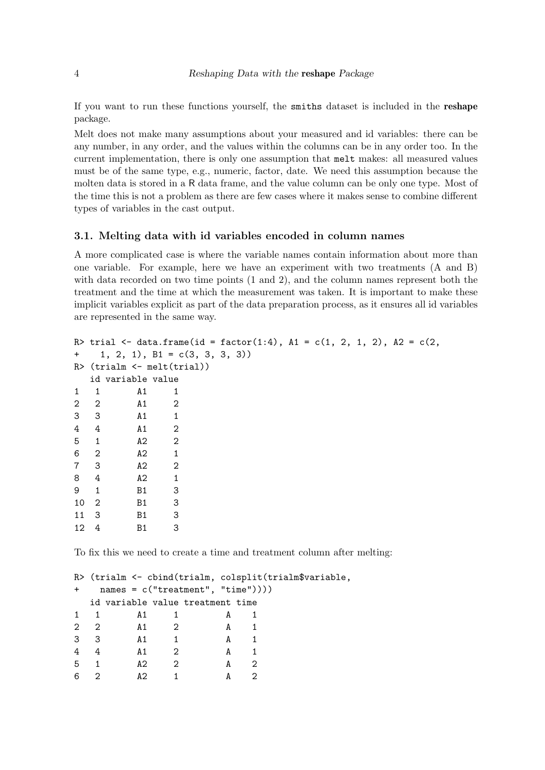If you want to run these functions yourself, the smiths dataset is included in the reshape package.

Melt does not make many assumptions about your measured and id variables: there can be any number, in any order, and the values within the columns can be in any order too. In the current implementation, there is only one assumption that melt makes: all measured values must be of the same type, e.g., numeric, factor, date. We need this assumption because the molten data is stored in a R data frame, and the value column can be only one type. Most of the time this is not a problem as there are few cases where it makes sense to combine different types of variables in the cast output.

#### 3.1. Melting data with id variables encoded in column names

A more complicated case is where the variable names contain information about more than one variable. For example, here we have an experiment with two treatments (A and B) with data recorded on two time points (1 and 2), and the column names represent both the treatment and the time at which the measurement was taken. It is important to make these implicit variables explicit as part of the data preparation process, as it ensures all id variables are represented in the same way.

```
R> trial <- data.frame(id = factor(1:4), A1 = c(1, 2, 1, 2), A2 = c(2,
+ 1, 2, 1), B1 = c(3, 3, 3, 3))
R> (trialm <- melt(trial))
  id variable value
1 1 A1 1
2 2 A1 2
3 3 A1 1
4 4 A1 2
5 1 A2 2
6 2 A2 1
7 3 A2 2
8 4 A2 1
9 1 B1 3
10 2 B1 3
11 3 B1 3
12 4 B1 3
```
To fix this we need to create a time and treatment column after melting:

```
R> (trialm <- cbind(trialm, colsplit(trialm$variable,
+ names = c("treatment", "time"))))
 id variable value treatment time
1 1 A1 1 A 1
2 2 A1 2 A 1
3 3 A1 1 A 1
4 4 A1 2 A 1
5 1 A2 2 A 2
6 2 A2 1 A 2
```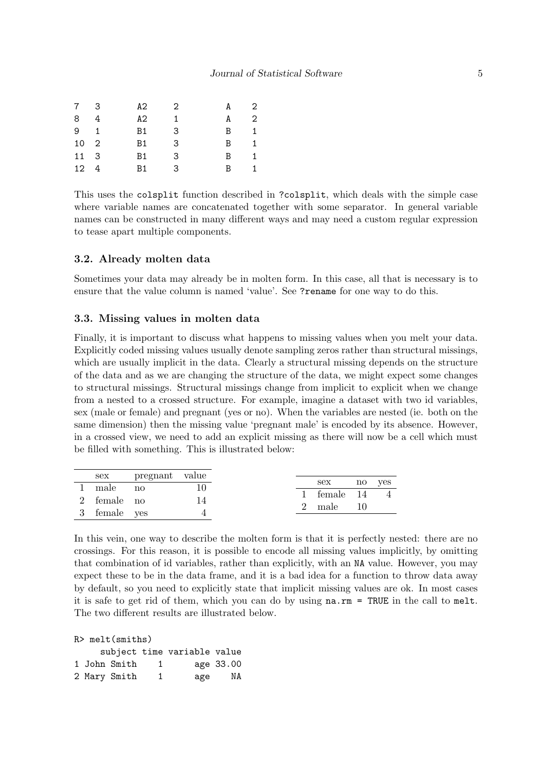| 7 3          | $A2 \t 2$ |                | A 2          |                |
|--------------|-----------|----------------|--------------|----------------|
| 8 4          | A2.       | $\overline{1}$ | A            | $\overline{2}$ |
| $9 \quad 1$  | Β1        | -3             | B.           | $\mathbf{1}$   |
| 10 2         | B1        | -3             | $\mathbf{B}$ | $\overline{1}$ |
| 11 3         | B1        | -3             | B.           | 1              |
| $12 \quad 4$ | B1.       | - 3            | B.           | $\mathbf{1}$   |

This uses the colsplit function described in ?colsplit, which deals with the simple case where variable names are concatenated together with some separator. In general variable names can be constructed in many different ways and may need a custom regular expression to tease apart multiple components.

#### 3.2. Already molten data

Sometimes your data may already be in molten form. In this case, all that is necessary is to ensure that the value column is named 'value'. See ?rename for one way to do this.

#### 3.3. Missing values in molten data

Finally, it is important to discuss what happens to missing values when you melt your data. Explicitly coded missing values usually denote sampling zeros rather than structural missings, which are usually implicit in the data. Clearly a structural missing depends on the structure of the data and as we are changing the structure of the data, we might expect some changes to structural missings. Structural missings change from implicit to explicit when we change from a nested to a crossed structure. For example, imagine a dataset with two id variables, sex (male or female) and pregnant (yes or no). When the variables are nested (ie. both on the same dimension) then the missing value 'pregnant male' is encoded by its absence. However, in a crossed view, we need to add an explicit missing as there will now be a cell which must be filled with something. This is illustrated below:

|              | sex pregnant value |    |               |        |
|--------------|--------------------|----|---------------|--------|
| 1 male no    |                    |    | sex           | no ves |
|              |                    |    | 1 female 14 4 |        |
| 2 female no  |                    | 14 |               |        |
|              |                    |    | 2 male $10$   |        |
| 3 female yes |                    |    |               |        |
|              |                    |    |               |        |

In this vein, one way to describe the molten form is that it is perfectly nested: there are no crossings. For this reason, it is possible to encode all missing values implicitly, by omitting that combination of id variables, rather than explicitly, with an NA value. However, you may expect these to be in the data frame, and it is a bad idea for a function to throw data away by default, so you need to explicitly state that implicit missing values are ok. In most cases it is safe to get rid of them, which you can do by using na.rm = TRUE in the call to melt. The two different results are illustrated below.

|  | $R$ melt (smiths) |                |                             |           |
|--|-------------------|----------------|-----------------------------|-----------|
|  |                   |                | subject time variable value |           |
|  | 1 John Smith      | $\overline{1}$ |                             | age 33.00 |
|  | 2 Mary Smith      | 1.             | age                         | NA        |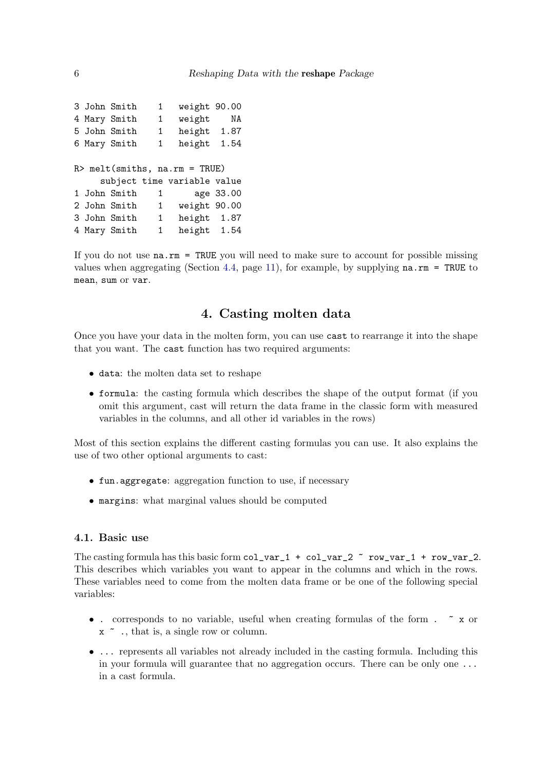```
3 John Smith 1 weight 90.00
4 Mary Smith 1 weight NA
5 John Smith 1 height 1.87
6 Mary Smith 1 height 1.54
R> melt(smiths, na.rm = TRUE)
    subject time variable value
1 John Smith 1 age 33.00
2 John Smith 1 weight 90.00
3 John Smith 1 height 1.87
4 Mary Smith 1 height 1.54
```
If you do not use na.rm = TRUE you will need to make sure to account for possible missing values when aggregating (Section [4.4,](#page-10-0) page [11\)](#page-10-0), for example, by supplying  $na.rm = TRUE$  to mean, sum or var.

# 4. Casting molten data

Once you have your data in the molten form, you can use cast to rearrange it into the shape that you want. The cast function has two required arguments:

- data: the molten data set to reshape
- formula: the casting formula which describes the shape of the output format (if you omit this argument, cast will return the data frame in the classic form with measured variables in the columns, and all other id variables in the rows)

Most of this section explains the different casting formulas you can use. It also explains the use of two other optional arguments to cast:

- fun.aggregate: aggregation function to use, if necessary
- margins: what marginal values should be computed

# 4.1. Basic use

The casting formula has this basic form  $col\_var_1 + col\_var_2$   $\sim row\_var_1 + row\_var_2$ . This describes which variables you want to appear in the columns and which in the rows. These variables need to come from the molten data frame or be one of the following special variables:

- . corresponds to no variable, useful when creating formulas of the form .  $\tilde{z}$  x or x ~ ., that is, a single row or column.
- ... represents all variables not already included in the casting formula. Including this in your formula will guarantee that no aggregation occurs. There can be only one ... in a cast formula.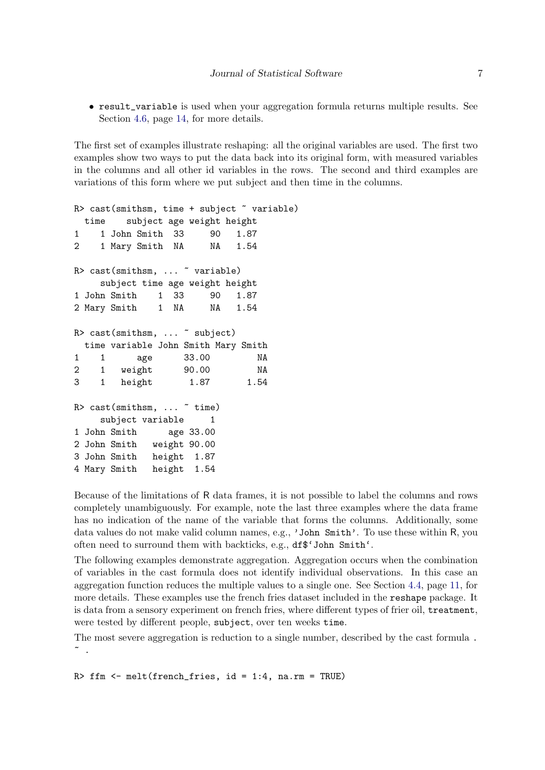• result\_variable is used when your aggregation formula returns multiple results. See Section [4.6,](#page-13-0) page [14,](#page-13-0) for more details.

The first set of examples illustrate reshaping: all the original variables are used. The first two examples show two ways to put the data back into its original form, with measured variables in the columns and all other id variables in the rows. The second and third examples are variations of this form where we put subject and then time in the columns.

```
R> cast(smithsm, time + subject ~ variable)
 time subject age weight height
1 1 John Smith 33 90 1.87
2 1 Mary Smith NA NA 1.54
R> cast(smithsm, ... ~ variable)
    subject time age weight height
1 John Smith 1 33 90 1.87
2 Mary Smith 1 NA NA 1.54
R> cast(smithsm, ... ~ subject)
 time variable John Smith Mary Smith
1 1 age 33.00 NA
2 1 weight 90.00 NA
3 1 height 1.87 1.54
R> cast(smithsm, ... " time)
    subject variable 1
1 John Smith age 33.00
2 John Smith weight 90.00
3 John Smith height 1.87
4 Mary Smith height 1.54
```
Because of the limitations of R data frames, it is not possible to label the columns and rows completely unambiguously. For example, note the last three examples where the data frame has no indication of the name of the variable that forms the columns. Additionally, some data values do not make valid column names, e.g., 'John Smith'. To use these within R, you often need to surround them with backticks, e.g., df\$'John Smith'.

The following examples demonstrate aggregation. Aggregation occurs when the combination of variables in the cast formula does not identify individual observations. In this case an aggregation function reduces the multiple values to a single one. See Section [4.4,](#page-10-0) page [11,](#page-10-0) for more details. These examples use the french fries dataset included in the reshape package. It is data from a sensory experiment on french fries, where different types of frier oil, treatment, were tested by different people, subject, over ten weeks time.

The most severe aggregation is reduction to a single number, described by the cast formula .  $\tilde{\phantom{a}}$ .

R> ffm  $\leq$  melt(french\_fries, id = 1:4, na.rm = TRUE)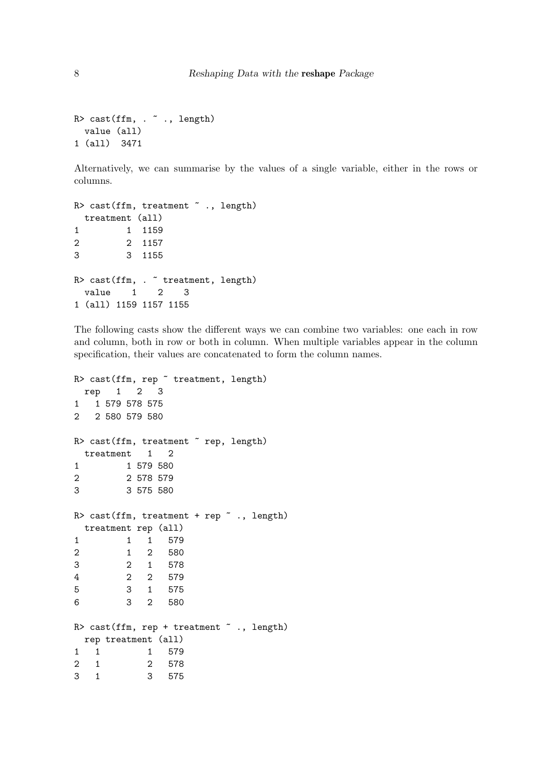```
R> cast(ffm, . " ., length)
  value (all)
1 (all) 3471
```
Alternatively, we can summarise by the values of a single variable, either in the rows or columns.

```
R> cast(ffm, treatment " . , length)treatment (all)
1 1 1159
2 2 1157
3 3 1155
R> cast(ffm, . " treatment, length)
 value 1 2 3
1 (all) 1159 1157 1155
```
The following casts show the different ways we can combine two variables: one each in row and column, both in row or both in column. When multiple variables appear in the column specification, their values are concatenated to form the column names.

```
R> cast(ffm, rep \tilde{ } treatment, length)
 rep 1 2 3
1 1 579 578 575
2 2 580 579 580
R> cast(ffm, treatment \tilde{ } rep, length)
 treatment 1 2
1 1 579 580
2 2 578 579
3 3 575 580
R> cast(ffm, treatment + rep \tilde{ } ., length)
 treatment rep (all)
1 1 1 579
2 1 2 580
3 2 1 578
4 2 2 579
5 3 1 575
6 3 2 580
R> cast(ffm, rep + treatment \tilde{ } ., length)
 rep treatment (all)
1 1 1 579
2 1 2 578
3 1 3 575
```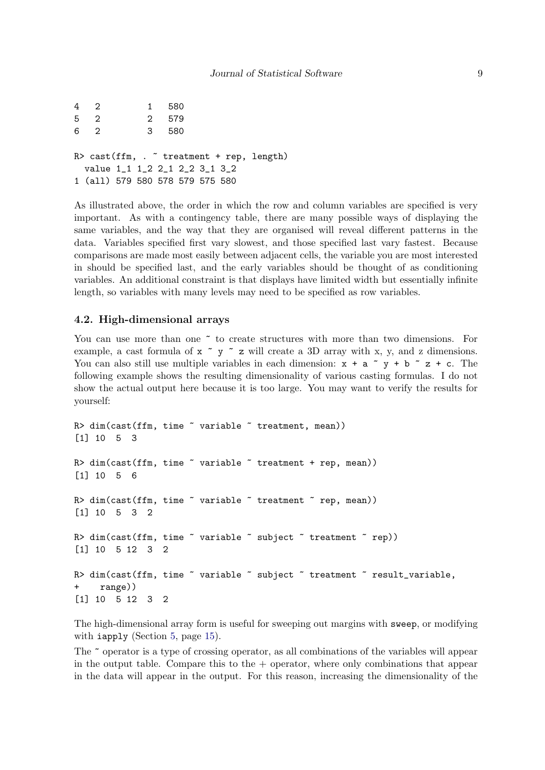```
4 2 1 580
5 2 2 579
6 2 3 580
R > \text{cast}(ffm, \ldots) treatment + rep, length)
 value 1_1 1_2 2_1 2_2 3_1 3_2
1 (all) 579 580 578 579 575 580
```
As illustrated above, the order in which the row and column variables are specified is very important. As with a contingency table, there are many possible ways of displaying the same variables, and the way that they are organised will reveal different patterns in the data. Variables specified first vary slowest, and those specified last vary fastest. Because comparisons are made most easily between adjacent cells, the variable you are most interested in should be specified last, and the early variables should be thought of as conditioning variables. An additional constraint is that displays have limited width but essentially infinite length, so variables with many levels may need to be specified as row variables.

#### 4.2. High-dimensional arrays

You can use more than one  $\tilde{ }$  to create structures with more than two dimensions. For example, a cast formula of  $x \tilde{ }$   $\tilde{ }$   $\tilde{ }$   $\tilde{ }$   $\tilde{ }$   $\tilde{ }$   $\tilde{ }$   $\tilde{ }$   $\tilde{ }$   $\tilde{ }$   $\tilde{ }$   $\tilde{ }$   $\tilde{ }$   $\tilde{ }$   $\tilde{ }$   $\tilde{ }$   $\tilde{ }$   $\tilde{ }$   $\tilde{ }$   $\tilde{ }$   $\tilde{ }$   $\tilde{ }$   $\tilde{ }$   $\tilde{ }$  You can also still use multiple variables in each dimension:  $x + a^y + b^z = + c$ . The following example shows the resulting dimensionality of various casting formulas. I do not show the actual output here because it is too large. You may want to verify the results for yourself:

```
R> dim(cast(ffm, time \tilde{ } variable \tilde{ } treatment, mean))
[1] 10 5 3
R> dim(cast(ffm, time \tilde{ } variable \tilde{ } treatment + rep, mean))
[1] 10 5 6
R> dim(cast(ffm, time \tilde{ } variable \tilde{ } treatment \tilde{ } rep, mean))
[1] 10 5 3 2
R> dim(cast(ffm, time \tilde{ } variable \tilde{ } subject \tilde{ } treatment \tilde{ } rep))
[1] 10 5 12 3 2
R> dim(cast(ffm, time ~ variable ~ subject ~ treatment ~ result_variable,
+ range))
[1] 10 5 12 3 2
```
The high-dimensional array form is useful for sweeping out margins with sweep, or modifying with iapply (Section [5,](#page-14-0) page [15\)](#page-14-0).

The ~ operator is a type of crossing operator, as all combinations of the variables will appear in the output table. Compare this to the  $+$  operator, where only combinations that appear in the data will appear in the output. For this reason, increasing the dimensionality of the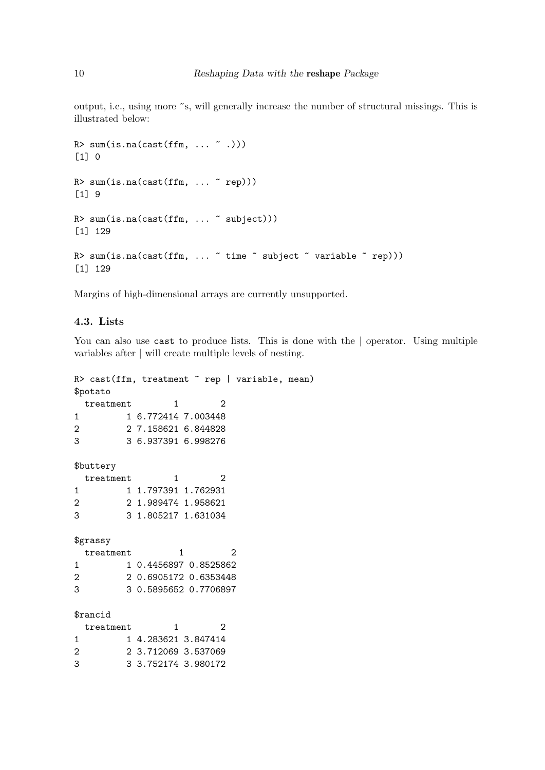output, i.e., using more ~s, will generally increase the number of structural missings. This is illustrated below:

```
R > sum(is.na(cast(ffm, ..., " .)))[1] 0
R > sum(is.na(cast(ffm, ... "rep)))[1] 9
R> sum(is.na(cast(ffm, ... ~ subject)))
[1] 129
R> sum(is.na(cast(ffm, ... \tilde{ } time \tilde{ } subject \tilde{ } variable \tilde{ } rep)))
[1] 129
```
Margins of high-dimensional arrays are currently unsupported.

#### 4.3. Lists

You can also use cast to produce lists. This is done with the | operator. Using multiple variables after | will create multiple levels of nesting.

```
R> cast(ffm, treatment \tilde{ } rep | variable, mean)
$potato
 treatment 1 2
1 1 6.772414 7.003448
2 2 7.158621 6.844828
3 3 6.937391 6.998276
$buttery
 treatment 1 2
1 1 1.797391 1.762931
2 2 1.989474 1.958621
3 3 1.805217 1.631034
$grassy
 treatment 1 2
1 1 0.4456897 0.8525862
2 2 0.6905172 0.6353448
3 3 0.5895652 0.7706897
$rancid
 treatment 1 2
1 1 4.283621 3.847414
2 2 3.712069 3.537069
3 3 3.752174 3.980172
```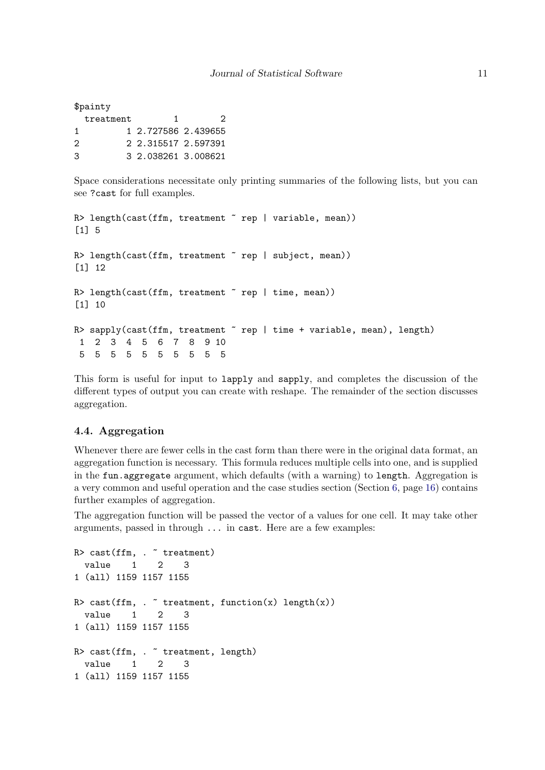|   | \$painty  |                     |   |
|---|-----------|---------------------|---|
|   | treatment |                     | 2 |
|   |           | 1 2.727586 2.439655 |   |
| 2 |           | 2 2.315517 2.597391 |   |
| 3 |           | 3 2.038261 3.008621 |   |
|   |           |                     |   |

Space considerations necessitate only printing summaries of the following lists, but you can see ?cast for full examples.

```
R> length(cast(ffm, treatment "rep | variable, mean))
[1] 5
R> length(cast(ffm, treatment \tilde{ } rep | subject, mean))
[1] 12
R> length(cast(ffm, treatment \tilde{ } rep | time, mean))
[1] 10
R> sapply(cast(ffm, treatment " rep | time + variable, mean), length)
 1 2 3 4 5 6 7 8 9 10
 5 5 5 5 5 5 5 5 5 5
```
This form is useful for input to lapply and sapply, and completes the discussion of the different types of output you can create with reshape. The remainder of the section discusses aggregation.

#### <span id="page-10-0"></span>4.4. Aggregation

Whenever there are fewer cells in the cast form than there were in the original data format, an aggregation function is necessary. This formula reduces multiple cells into one, and is supplied in the fun.aggregate argument, which defaults (with a warning) to length. Aggregation is a very common and useful operation and the case studies section (Section [6,](#page-15-0) page [16\)](#page-15-0) contains further examples of aggregation.

The aggregation function will be passed the vector of a values for one cell. It may take other arguments, passed in through ... in cast. Here are a few examples:

```
R> cast(ffm, \cdot \tilde{ } treatment)
  value 1 2 3
1 (all) 1159 1157 1155
R> cast(ffm, . \tilde{ } treatment, function(x) length(x))
  value 1 2 3
1 (all) 1159 1157 1155
R> cast(ffm, . " treatment, length)
  value 1 2 3
1 (all) 1159 1157 1155
```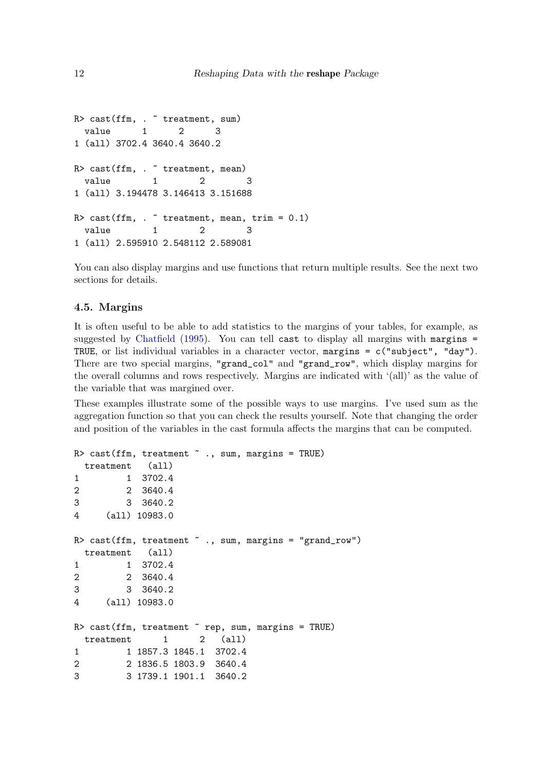```
R> cast(ffm, . " treatment, sum)
 value 1 2 3
1 (all) 3702.4 3640.4 3640.2
R> cast(ffm, . " treatment, mean)
 value 1 2 3
1 (all) 3.194478 3.146413 3.151688
R> cast(ffm, \cdot \tilde{ } treatment, mean, trim = 0.1)
 value 1 2 3
1 (all) 2.595910 2.548112 2.589081
```
You can also display margins and use functions that return multiple results. See the next two sections for details.

#### 4.5. Margins

It is often useful to be able to add statistics to the margins of your tables, for example, as suggested by [Chatfield](#page-18-0) [\(1995\)](#page-18-0). You can tell cast to display all margins with margins  $=$ TRUE, or list individual variables in a character vector, margins = c("subject", "day"). There are two special margins, "grand\_col" and "grand\_row", which display margins for the overall columns and rows respectively. Margins are indicated with '(all)' as the value of the variable that was margined over.

These examples illustrate some of the possible ways to use margins. I've used sum as the aggregation function so that you can check the results yourself. Note that changing the order and position of the variables in the cast formula affects the margins that can be computed.

```
R> cast(ffm, treatment \tilde{ } ., sum, margins = TRUE)
 treatment (all)
1 1 3702.4
2 2 3640.4
3 3 3640.2
4 (all) 10983.0
R> cast(ffm, treatment \tilde{C}., sum, margins = "grand_row")
 treatment (all)
1 1 3702.4
2 2 3640.4
3 3 3640.2
4 (all) 10983.0
R> cast(ffm, treatment \tilde{ } rep, sum, margins = TRUE)
 treatment 1 2 (all)
1 1 1857.3 1845.1 3702.4
2 2 1836.5 1803.9 3640.4
3 3 1739.1 1901.1 3640.2
```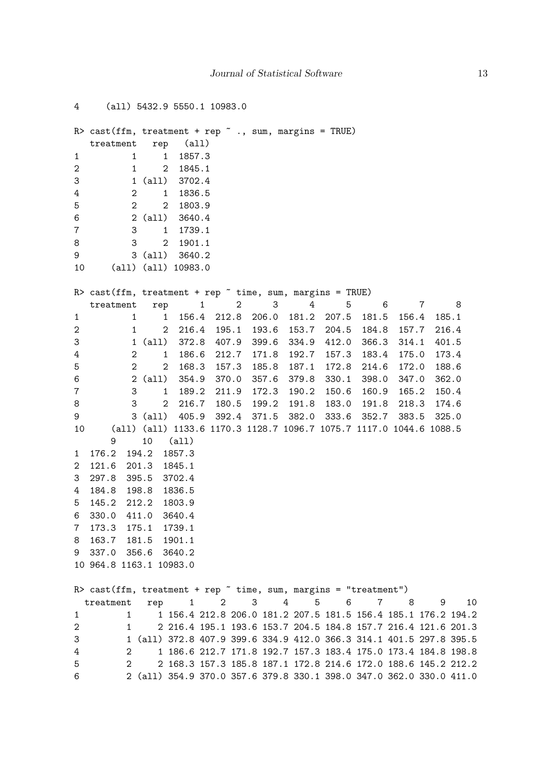```
4 (all) 5432.9 5550.1 10983.0
R> cast(ffm, treatment + rep \tilde{ } ., sum, margins = TRUE)
  treatment rep (all)
1 1 1 1857.3
2 1 2 1845.1
3 1 (all) 3702.4
4 2 1 1836.5
5 2 2 1803.9
6 2 (all) 3640.4
7 3 1 1739.1
8 3 2 1901.1
9 3 (all) 3640.2
10 (all) (all) 10983.0
R> cast(ffm, treatment + rep \tilde{ } time, sum, margins = TRUE)
  treatment rep 1 2 3 4 5 6 7 8
1 1 1 156.4 212.8 206.0 181.2 207.5 181.5 156.4 185.1
2 1 2 216.4 195.1 193.6 153.7 204.5 184.8 157.7 216.4
3 1 (all) 372.8 407.9 399.6 334.9 412.0 366.3 314.1 401.5
4 2 1 186.6 212.7 171.8 192.7 157.3 183.4 175.0 173.4
5 2 2 168.3 157.3 185.8 187.1 172.8 214.6 172.0 188.6
6 2 (all) 354.9 370.0 357.6 379.8 330.1 398.0 347.0 362.0
7 3 1 189.2 211.9 172.3 190.2 150.6 160.9 165.2 150.4
8 3 2 216.7 180.5 199.2 191.8 183.0 191.8 218.3 174.6
9 3 (all) 405.9 392.4 371.5 382.0 333.6 352.7 383.5 325.0
10 (all) (all) 1133.6 1170.3 1128.7 1096.7 1075.7 1117.0 1044.6 1088.5
     9 10 (all)
1 176.2 194.2 1857.3
2 121.6 201.3 1845.1
3 297.8 395.5 3702.4
4 184.8 198.8 1836.5
5 145.2 212.2 1803.9
6 330.0 411.0 3640.4
7 173.3 175.1 1739.1
8 163.7 181.5 1901.1
9 337.0 356.6 3640.2
10 964.8 1163.1 10983.0
R> cast(ffm, treatment + rep \tilde{ } time, sum, margins = "treatment")
 treatment rep 1 2 3 4 5 6 7 8 9 10
1 1 1 156.4 212.8 206.0 181.2 207.5 181.5 156.4 185.1 176.2 194.2
2 1 2 216.4 195.1 193.6 153.7 204.5 184.8 157.7 216.4 121.6 201.3
3 1 (all) 372.8 407.9 399.6 334.9 412.0 366.3 314.1 401.5 297.8 395.5
4 2 1 186.6 212.7 171.8 192.7 157.3 183.4 175.0 173.4 184.8 198.8
5 2 2 168.3 157.3 185.8 187.1 172.8 214.6 172.0 188.6 145.2 212.2
6 2 (all) 354.9 370.0 357.6 379.8 330.1 398.0 347.0 362.0 330.0 411.0
```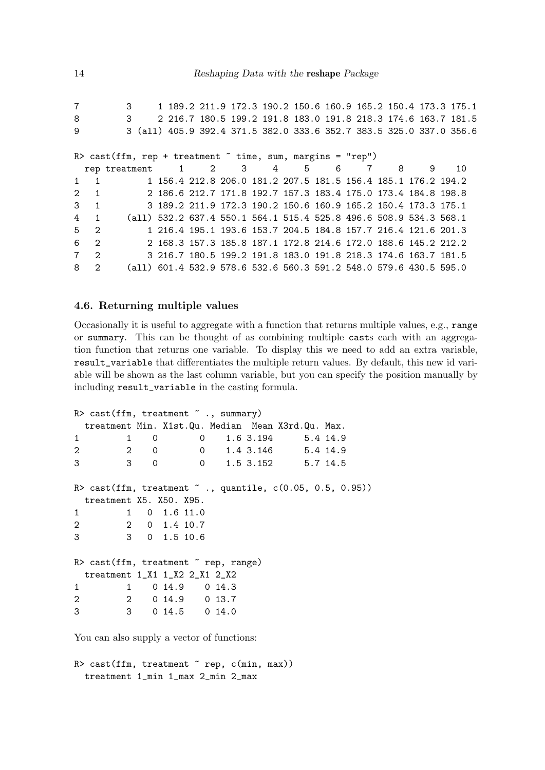7 3 1 189.2 211.9 172.3 190.2 150.6 160.9 165.2 150.4 173.3 175.1 8 3 2 216.7 180.5 199.2 191.8 183.0 191.8 218.3 174.6 163.7 181.5 9 3 (all) 405.9 392.4 371.5 382.0 333.6 352.7 383.5 325.0 337.0 356.6  $R$  cast(ffm, rep + treatment  $\tilde{ }$  time, sum, margins = "rep") rep treatment 1 2 3 4 5 6 7 8 9 10 1 1 1 156.4 212.8 206.0 181.2 207.5 181.5 156.4 185.1 176.2 194.2 2 1 2 186.6 212.7 171.8 192.7 157.3 183.4 175.0 173.4 184.8 198.8 3 1 3 189.2 211.9 172.3 190.2 150.6 160.9 165.2 150.4 173.3 175.1 4 1 (all) 532.2 637.4 550.1 564.1 515.4 525.8 496.6 508.9 534.3 568.1 5 2 1 216.4 195.1 193.6 153.7 204.5 184.8 157.7 216.4 121.6 201.3 6 2 2 168.3 157.3 185.8 187.1 172.8 214.6 172.0 188.6 145.2 212.2 7 2 3 216.7 180.5 199.2 191.8 183.0 191.8 218.3 174.6 163.7 181.5 8 2 (all) 601.4 532.9 578.6 532.6 560.3 591.2 548.0 579.6 430.5 595.0

#### <span id="page-13-0"></span>4.6. Returning multiple values

Occasionally it is useful to aggregate with a function that returns multiple values, e.g., range or summary. This can be thought of as combining multiple casts each with an aggregation function that returns one variable. To display this we need to add an extra variable, result\_variable that differentiates the multiple return values. By default, this new id variable will be shown as the last column variable, but you can specify the position manually by including result\_variable in the casting formula.

```
R> cast(ffm, treatment \tilde{ } ., summary)
 treatment Min. X1st.Qu. Median Mean X3rd.Qu. Max.
1 1 0 0 1.6 3.194 5.4 14.9
2 2 0 0 1.4 3.146 5.4 14.9
3 3 0 0 1.5 3.152 5.7 14.5
R> cast(ffm, treatment \tilde{C}., quantile, c(0.05, 0.5, 0.95))
 treatment X5. X50. X95.
1 1 0 1.6 11.0
2 2 0 1.4 10.7
3 3 0 1.5 10.6
R> cast(ffm, treatment "rep, range)
 treatment 1_X1 1_X2 2_X1 2_X2
1 1 0 14.9 0 14.3
2 2 0 14.9 0 13.7
3 3 0 14.5 0 14.0
```
You can also supply a vector of functions:

 $R$ > cast(ffm, treatment  $\tilde{ }$  rep, c(min, max)) treatment 1\_min 1\_max 2\_min 2\_max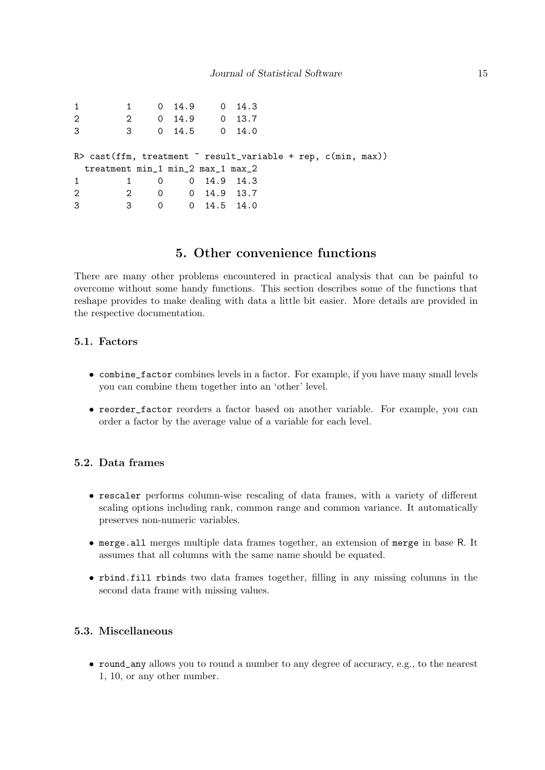| 1              |                                   | 1 0 14.9 0 14.3          |  |                                                                           |  |
|----------------|-----------------------------------|--------------------------|--|---------------------------------------------------------------------------|--|
| $\overline{2}$ |                                   | 2 0 14.9 0 13.7          |  |                                                                           |  |
| 3              |                                   | 3 0 14.5 0 14.0          |  |                                                                           |  |
|                |                                   |                          |  |                                                                           |  |
|                |                                   |                          |  | $R$ > cast(ffm, treatment $\tilde{C}$ result_variable + rep, c(min, max)) |  |
|                | treatment min_1 min_2 max_1 max_2 |                          |  |                                                                           |  |
| $\mathbf{1}$   |                                   | 1 0 0 14.9 14.3          |  |                                                                           |  |
| 2              |                                   | 2 0 0 14.9 13.7          |  |                                                                           |  |
| 3              | $\overline{\mathbf{3}}$           | $0 \t 0 \t 14.5 \t 14.0$ |  |                                                                           |  |

# 5. Other convenience functions

<span id="page-14-0"></span>There are many other problems encountered in practical analysis that can be painful to overcome without some handy functions. This section describes some of the functions that reshape provides to make dealing with data a little bit easier. More details are provided in the respective documentation.

#### 5.1. Factors

- combine\_factor combines levels in a factor. For example, if you have many small levels you can combine them together into an 'other' level.
- reorder\_factor reorders a factor based on another variable. For example, you can order a factor by the average value of a variable for each level.

#### 5.2. Data frames

- rescaler performs column-wise rescaling of data frames, with a variety of different scaling options including rank, common range and common variance. It automatically preserves non-numeric variables.
- merge.all merges multiple data frames together, an extension of merge in base R. It assumes that all columns with the same name should be equated.
- rbind.fill rbinds two data frames together, filling in any missing columns in the second data frame with missing values.

#### 5.3. Miscellaneous

• round\_any allows you to round a number to any degree of accuracy, e.g., to the nearest 1, 10, or any other number.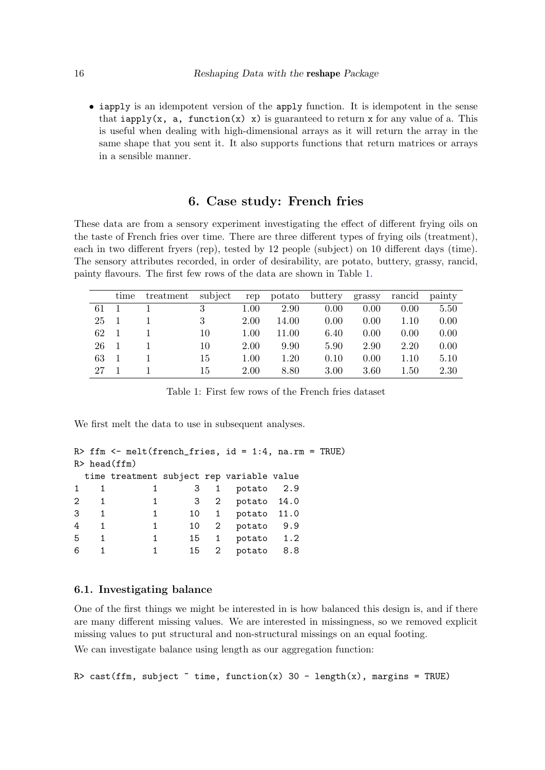• iapply is an idempotent version of the apply function. It is idempotent in the sense that iapply(x, a, function(x) x) is guaranteed to return x for any value of a. This is useful when dealing with high-dimensional arrays as it will return the array in the same shape that you sent it. It also supports functions that return matrices or arrays in a sensible manner.

# 6. Case study: French fries

<span id="page-15-0"></span>These data are from a sensory experiment investigating the effect of different frying oils on the taste of French fries over time. There are three different types of frying oils (treatment), each in two different fryers (rep), tested by 12 people (subject) on 10 different days (time). The sensory attributes recorded, in order of desirability, are potato, buttery, grassy, rancid, painty flavours. The first few rows of the data are shown in Table [1.](#page-15-1)

|    | time | treatment | subject | rep  | potato | buttery | grassy | rancid | painty |
|----|------|-----------|---------|------|--------|---------|--------|--------|--------|
| 61 |      |           | 3       | 1.00 | 2.90   | 0.00    | 0.00   | 0.00   | 5.50   |
| 25 |      |           | 3       | 2.00 | 14.00  | 0.00    | 0.00   | 1.10   | 0.00   |
| 62 |      |           | 10      | 1.00 | 11.00  | 6.40    | 0.00   | 0.00   | 0.00   |
| 26 |      |           | 10      | 2.00 | 9.90   | 5.90    | 2.90   | 2.20   | 0.00   |
| 63 |      |           | 15      | 1.00 | 1.20   | 0.10    | 0.00   | 1.10   | 5.10   |
| 27 |      |           | 15      | 2.00 | 8.80   | 3.00    | 3.60   | 1.50   | 2.30   |

<span id="page-15-1"></span>Table 1: First few rows of the French fries dataset

We first melt the data to use in subsequent analyses.

```
R> ffm <- melt(french_fries, id = 1:4, na.rm = TRUE)
R> head(ffm)
 time treatment subject rep variable value
1 1 1 3 1 potato 2.9
2 1 1 3 2 potato 14.0
3 1 1 10 1 potato 11.0
4 1 1 10 2 potato 9.9
5 1 1 15 1 potato 1.2
6 1 1 15 2 potato 8.8
```
#### 6.1. Investigating balance

One of the first things we might be interested in is how balanced this design is, and if there are many different missing values. We are interested in missingness, so we removed explicit missing values to put structural and non-structural missings on an equal footing.

We can investigate balance using length as our aggregation function:

R> cast(ffm, subject  $\tilde{ }$  time, function(x) 30 - length(x), margins = TRUE)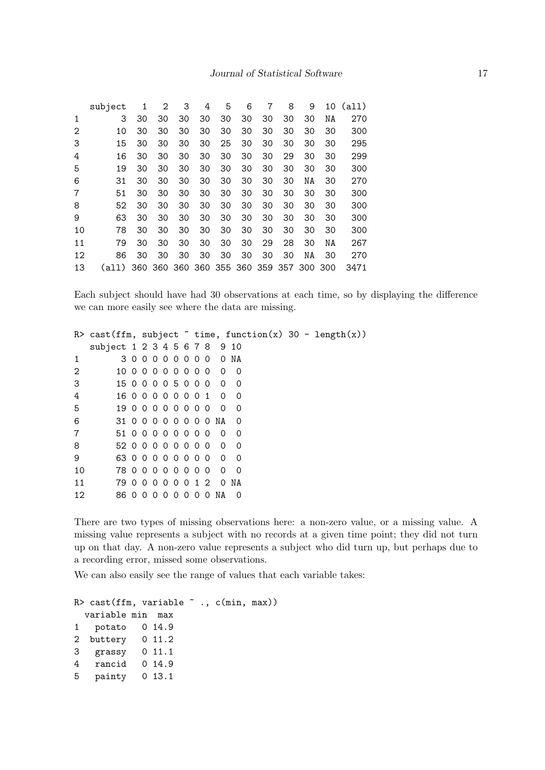|    | subject | 1   | 2  | 3  | 4  | 5  | 6                           | 7  | 8  | 9   | 10  | (a11) |
|----|---------|-----|----|----|----|----|-----------------------------|----|----|-----|-----|-------|
| 1  | 3       | 30  | 30 | 30 | 30 | 30 | 30                          | 30 | 30 | 30  | ΝA  | 270   |
| 2  | 10      | 30  | 30 | 30 | 30 | 30 | 30                          | 30 | 30 | 30  | 30  | 300   |
| 3  | 15      | 30  | 30 | 30 | 30 | 25 | 30                          | 30 | 30 | 30  | 30  | 295   |
| 4  | 16      | 30  | 30 | 30 | 30 | 30 | 30                          | 30 | 29 | 30  | 30  | 299   |
| 5  | 19      | 30  | 30 | 30 | 30 | 30 | 30                          | 30 | 30 | 30  | 30  | 300   |
| 6  | 31      | 30  | 30 | 30 | 30 | 30 | 30                          | 30 | 30 | ΝA  | 30  | 270   |
| 7  | 51      | 30  | 30 | 30 | 30 | 30 | 30                          | 30 | 30 | 30  | 30  | 300   |
| 8  | 52      | 30  | 30 | 30 | 30 | 30 | 30                          | 30 | 30 | 30  | 30  | 300   |
| 9  | 63      | 30  | 30 | 30 | 30 | 30 | 30                          | 30 | 30 | 30  | 30  | 300   |
| 10 | 78      | 30  | 30 | 30 | 30 | 30 | 30                          | 30 | 30 | 30  | 30  | 300   |
| 11 | 79      | 30  | 30 | 30 | 30 | 30 | 30                          | 29 | 28 | 30  | ΝA  | 267   |
| 12 | 86      | 30  | 30 | 30 | 30 | 30 | 30                          | 30 | 30 | ΝA  | 30  | 270   |
| 13 | (a11)   | 360 |    |    |    |    | 360 360 360 355 360 359 357 |    |    | 300 | 300 | 3471  |

Each subject should have had 30 observations at each time, so by displaying the difference we can more easily see where the data are missing.

|    |                              |           |          |          |          |   |     |     |          |                       |                | R> cast(ffm, subject $\tilde{ }$ time, function(x) 30 - length(x)) |  |  |  |
|----|------------------------------|-----------|----------|----------|----------|---|-----|-----|----------|-----------------------|----------------|--------------------------------------------------------------------|--|--|--|
|    | subject 1 2 3 4 5 6 7 8 9 10 |           |          |          |          |   |     |     |          |                       |                |                                                                    |  |  |  |
| 1  |                              | 300000000 |          |          |          |   |     |     |          |                       | O NA           |                                                                    |  |  |  |
| 2  | 1000000000                   |           |          |          |          |   |     |     |          | 0                     | - 0            |                                                                    |  |  |  |
| 3  | 15 0 0 0 0 5 0 0 0           |           |          |          |          |   |     |     |          | $\overline{0}$        | - 0            |                                                                    |  |  |  |
| 4  | 1600000001                   |           |          |          |          |   |     |     |          | 0                     | - 0            |                                                                    |  |  |  |
| 5  | 1900000000                   |           |          |          |          |   |     |     |          | - 0                   | -0             |                                                                    |  |  |  |
| 6  |                              |           |          |          |          |   |     |     |          | 31 0 0 0 0 0 0 0 0 NA | $\overline{0}$ |                                                                    |  |  |  |
| 7  | 51 0 0 0 0 0 0 0 0           |           |          |          |          |   |     |     |          | - 0                   | - 0            |                                                                    |  |  |  |
| 8  | 52 0 0 0 0 0 0 0 0           |           |          |          |          |   |     |     |          | 0                     | - 0            |                                                                    |  |  |  |
| 9  | 63 0 0 0 0 0 0 0 0           |           |          |          |          |   |     |     |          | $\Omega$              | - 0            |                                                                    |  |  |  |
| 10 | 78 0 0 0 0 0 0 0 0           |           |          |          |          |   |     |     |          | - 0                   | - 0            |                                                                    |  |  |  |
| 11 | 79 0 0 0 0 0 0 1 2           |           |          |          |          |   |     |     |          | $\overline{0}$        | NA             |                                                                    |  |  |  |
| 12 | 86 0                         |           | $\Omega$ | $\Omega$ | $\Omega$ | 0 | - 0 | - 0 | $\Omega$ | NA                    | 0              |                                                                    |  |  |  |

There are two types of missing observations here: a non-zero value, or a missing value. A missing value represents a subject with no records at a given time point; they did not turn up on that day. A non-zero value represents a subject who did turn up, but perhaps due to a recording error, missed some observations.

We can also easily see the range of values that each variable takes:

```
R> cast(ffm, variable \tilde{ } ., c(min, max))
 variable min max
1 potato 0 14.9
2 buttery 0 11.2
3 grassy 0 11.1
4 rancid 0 14.9
5 painty 0 13.1
```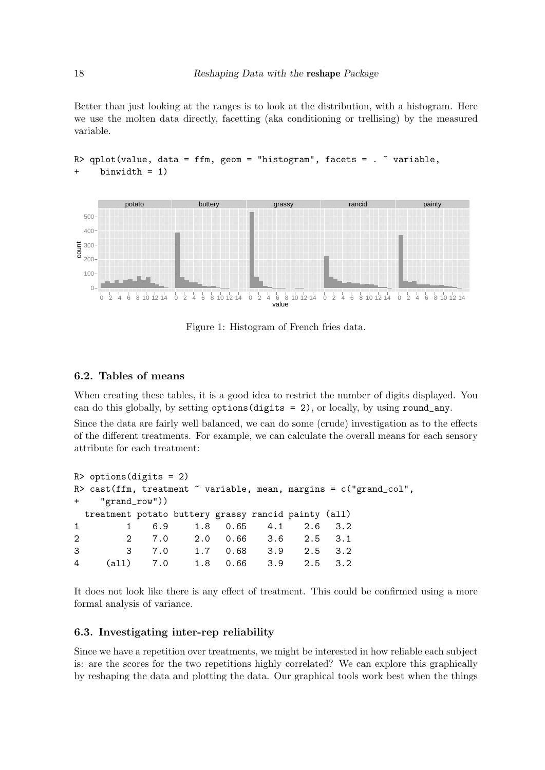Better than just looking at the ranges is to look at the distribution, with a histogram. Here we use the molten data directly, facetting (aka conditioning or trellising) by the measured variable.



#### R> qplot(value, data = ffm, geom = "histogram", facets =  $\degree$  variable, binwidth  $= 1$ )

Figure 1: Histogram of French fries data.

# 6.2. Tables of means

When creating these tables, it is a good idea to restrict the number of digits displayed. You can do this globally, by setting options(digits = 2), or locally, by using round\_any.

Since the data are fairly well balanced, we can do some (crude) investigation as to the effects of the different treatments. For example, we can calculate the overall means for each sensory attribute for each treatment:

```
R> options(digits = 2)
R> cast(ffm, treatment \tilde{ } variable, mean, margins = c("grand_col",
+ "grand_row"))
 treatment potato buttery grassy rancid painty (all)
1 1 6.9 1.8 0.65 4.1 2.6 3.2
2 2 7.0 2.0 0.66 3.6 2.5 3.1
3 3 7.0 1.7 0.68 3.9 2.5 3.2
4 (all) 7.0 1.8 0.66 3.9 2.5 3.2
```
It does not look like there is any effect of treatment. This could be confirmed using a more formal analysis of variance.

#### 6.3. Investigating inter-rep reliability

Since we have a repetition over treatments, we might be interested in how reliable each subject is: are the scores for the two repetitions highly correlated? We can explore this graphically by reshaping the data and plotting the data. Our graphical tools work best when the things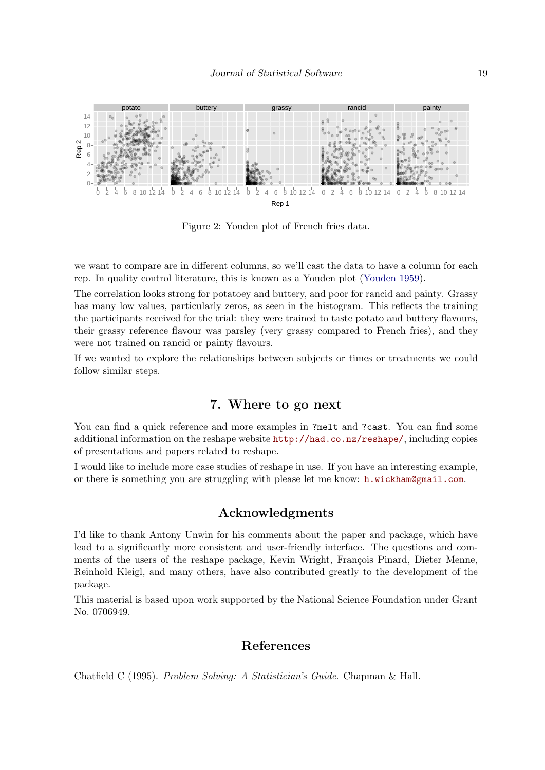

Figure 2: Youden plot of French fries data.

we want to compare are in different columns, so we'll cast the data to have a column for each rep. In quality control literature, this is known as a Youden plot [\(Youden](#page-19-1) [1959\)](#page-19-1).

The correlation looks strong for potatoey and buttery, and poor for rancid and painty. Grassy has many low values, particularly zeros, as seen in the histogram. This reflects the training the participants received for the trial: they were trained to taste potato and buttery flavours, their grassy reference flavour was parsley (very grassy compared to French fries), and they were not trained on rancid or painty flavours.

If we wanted to explore the relationships between subjects or times or treatments we could follow similar steps.

# 7. Where to go next

You can find a quick reference and more examples in ?melt and ?cast. You can find some additional information on the reshape website <http://had.co.nz/reshape/>, including copies of presentations and papers related to reshape.

I would like to include more case studies of reshape in use. If you have an interesting example, or there is something you are struggling with please let me know: [h.wickham@gmail.com](mailto:h.wickham@gmail.com).

# Acknowledgments

I'd like to thank Antony Unwin for his comments about the paper and package, which have lead to a significantly more consistent and user-friendly interface. The questions and comments of the users of the reshape package, Kevin Wright, François Pinard, Dieter Menne, Reinhold Kleigl, and many others, have also contributed greatly to the development of the package.

This material is based upon work supported by the National Science Foundation under Grant No. 0706949.

# References

<span id="page-18-0"></span>Chatfield C (1995). Problem Solving: A Statistician's Guide. Chapman & Hall.